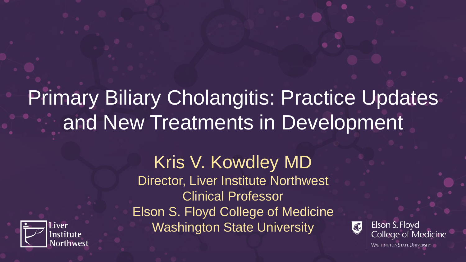# Primary Biliary Cholangitis: Practice Updates and New Treatments in Development



Kris V. Kowdley MD Director, Liver Institute Northwest Clinical Professor Elson S. Floyd College of Medicine Washington State University



Elson S. Floyd **College of Medicine WASHINGTON STATE UNIVERSITY**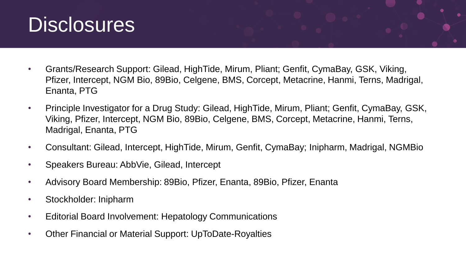

- Grants/Research Support: Gilead, HighTide, Mirum, Pliant; Genfit, CymaBay, GSK, Viking, Pfizer, Intercept, NGM Bio, 89Bio, Celgene, BMS, Corcept, Metacrine, Hanmi, Terns, Madrigal, Enanta, PTG
- Principle Investigator for a Drug Study: Gilead, HighTide, Mirum, Pliant; Genfit, CymaBay, GSK, Viking, Pfizer, Intercept, NGM Bio, 89Bio, Celgene, BMS, Corcept, Metacrine, Hanmi, Terns, Madrigal, Enanta, PTG
- Consultant: Gilead, Intercept, HighTide, Mirum, Genfit, CymaBay; Inipharm, Madrigal, NGMBio
- Speakers Bureau: AbbVie, Gilead, Intercept
- Advisory Board Membership: 89Bio, Pfizer, Enanta, 89Bio, Pfizer, Enanta
- Stockholder: Inipharm
- Editorial Board Involvement: Hepatology Communications
- Other Financial or Material Support: UpToDate-Royalties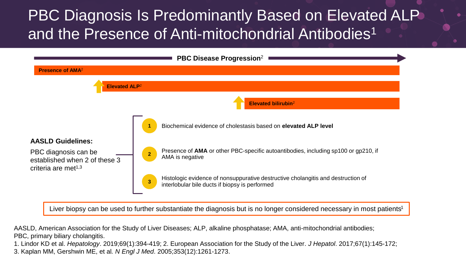### PBC Diagnosis Is Predominantly Based on Elevated ALP and the Presence of Anti-mitochondrial Antibodies<sup>1</sup>



Liver biopsy can be used to further substantiate the diagnosis but is no longer considered necessary in most patients<sup>1</sup>

AASLD, American Association for the Study of Liver Diseases; ALP, alkaline phosphatase; AMA, anti-mitochondrial antibodies; PBC, primary biliary cholangitis.

1. Lindor KD et al. *Hepatology*. 2019;69(1):394-419; 2. European Association for the Study of the Liver. *J Hepatol*. 2017;67(1):145-172; 3. Kaplan MM, Gershwin ME, et al*. N Engl J Med*. 2005;353(12):1261-1273.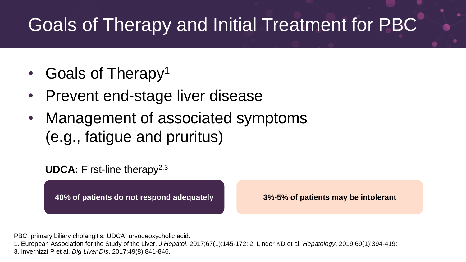# Goals of Therapy and Initial Treatment for PBC

- Goals of Therapy<sup>1</sup>
- Prevent end-stage liver disease
- Management of associated symptoms (e.g., fatigue and pruritus)

**UDCA:** First-line therapy<sup>2,3</sup>

**40% of patients do not respond adequately 3%-5% of patients may be intolerant**

PBC, primary biliary cholangitis; UDCA, ursodeoxycholic acid.

1. European Association for the Study of the Liver. *J Hepatol*. 2017;67(1):145-172; 2. Lindor KD et al. *Hepatology*. 2019;69(1):394-419;

3. Invernizzi P et al. *Dig Liver Dis*. 2017;49(8):841-846.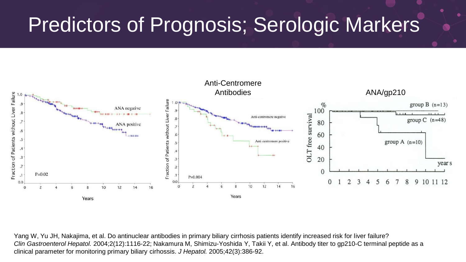# Predictors of Prognosis; Serologic Markers



Yang W, Yu JH, Nakajima, et al. Do antinuclear antibodies in primary biliary cirrhosis patients identify increased risk for liver failure? *Clin Gastroenterol Hepatol.* 2004;2(12):1116-22; Nakamura M, Shimizu-Yoshida Y, Takii Y, et al. Antibody titer to gp210-C terminal peptide as a clinical parameter for monitoring primary biliary cirhossis. *J Hepatol.* 2005;42(3):386-92.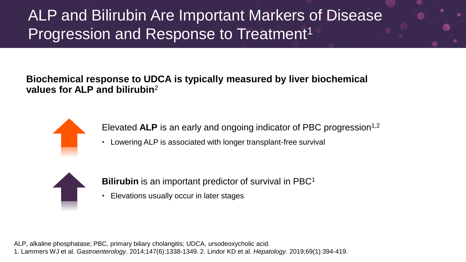### ALP and Bilirubin Are Important Markers of Disease Progression and Response to Treatment<sup>1</sup>

#### **Biochemical response to UDCA is typically measured by liver biochemical values for ALP and bilirubin**<sup>2</sup>



Elevated **ALP** is an early and ongoing indicator of PBC progression<sup>1,2</sup>

• Lowering ALP is associated with longer transplant-free survival



**Bilirubin** is an important predictor of survival in PBC<sup>1</sup>

• Elevations usually occur in later stages

ALP, alkaline phosphatase; PBC, primary biliary cholangitis; UDCA, ursodeoxycholic acid. 1. Lammers WJ et al. *Gastroenterology*. 2014;147(6):1338-1349. 2. Lindor KD et al. *Hepatology*. 2019;69(1):394-419.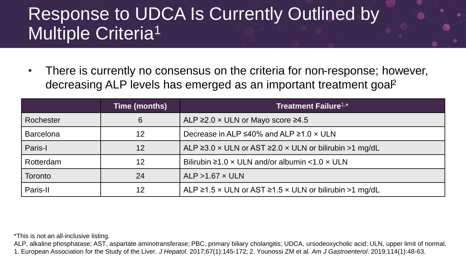### Response to UDCA Is Currently Outlined by Multiple Criteria<sup>1</sup>

• There is currently no consensus on the criteria for non-response; however, decreasing ALP levels has emerged as an important treatment goal<sup>2</sup>

|                  | Time (months) | Treatment Failure <sup>1,*</sup>                                   |
|------------------|---------------|--------------------------------------------------------------------|
| Rochester        | 6             | ALP $\geq$ 2.0 x ULN or Mayo score $\geq$ 4.5                      |
| <b>Barcelona</b> | 12            | Decrease in ALP $\leq 40\%$ and ALP $\geq 1.0 \times$ ULN          |
| Paris-I          | 12            | ALP $\geq$ 3.0 x ULN or AST $\geq$ 2.0 x ULN or bilirubin >1 mg/dL |
| Rotterdam        | 12            | Bilirubin $\geq 1.0 \times$ ULN and/or albumin < 1.0 $\times$ ULN  |
| Toronto          | 24            | ALP $>1.67 \times$ ULN                                             |
| Paris-II         | 12            | ALP $\ge$ 1.5 x ULN or AST $\ge$ 1.5 x ULN or bilirubin >1 mg/dL   |

\*This is not an all-inclusive listing.

ALP, alkaline phosphatase; AST, aspartate aminotransferase; PBC, primary biliary cholangitis; UDCA, ursodeoxycholic acid; ULN, upper limit of normal. 1. European Association for the Study of the Liver. *J Hepatol*. 2017;67(1):145-172; 2. Younossi ZM et al*. Am J Gastroenterol*. 2019;114(1):48-63.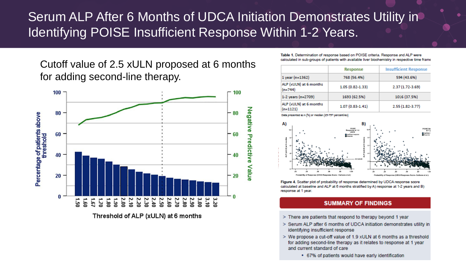### Serum ALP After 6 Months of UDCA Initiation Demonstrates Utility in Identifying POISE Insufficient Response Within 1-2 Years.

Cutoff value of 2.5 xULN proposed at 6 months for adding second-line therapy.



Threshold of ALP (xULN) at 6 months

Table 1. Determination of response based on POISE criteria. Response and ALP were calculated in sub-groups of patients with available liver biochemistry in respective time frame

|                                      | <b>Response</b>     | <b>Insufficient Response</b> |
|--------------------------------------|---------------------|------------------------------|
| 1 year (n=1362)                      | 768 (56.4%)         | 594 (43.6%)                  |
| ALP (xULN) at 6 months<br>$(n=744)$  | $1.05(0.82 - 1.33)$ | $2.37(1.72 - 3.69)$          |
| 1-2 years (n=2709)                   | 1693 (62.5%)        | 1016 (37.5%)                 |
| ALP (xULN) at 6 months<br>$(n=1121)$ | $1.07(0.83 - 1.41)$ | 2.55 (1.82-3.77)             |

Data presented as n (%) or median (25-75<sup>th</sup> percentiles)



Figure 4. Scatter plot of probability of response determined by UDCA response score calculated at baseline and ALP at 6 months stratified by A) response at 1-2 years and B) response at 1 year.

#### **SUMMARY OF FINDINGS**

- > There are patients that respond to therapy beyond 1 year
- > Serum ALP after 6 months of UDCA initiation demonstrates utility in identifying insufficient response
- > We propose a cut-off value of 1.9 xULN at 6 months as a threshold for adding second-line therapy as it relates to response at 1 year and current standard of care
	- 67% of patients would have early identification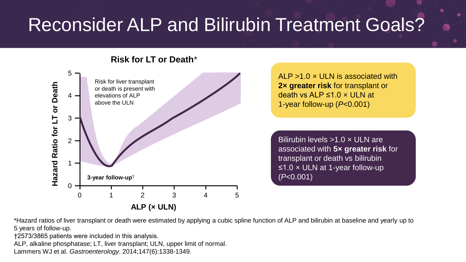# Reconsider ALP and Bilirubin Treatment Goals?



ALP >1.0 × ULN is associated with **2× greater risk** for transplant or death vs ALP  $\leq 1.0 \times$  ULN at 1-year follow-up (*P*<0.001)

Bilirubin levels >1.0 x ULN are associated with **5× greater risk** for transplant or death vs bilirubin ≤1.0 × ULN at 1-year follow-up (*P*<0.001)

\*Hazard ratios of liver transplant or death were estimated by applying a cubic spline function of ALP and bilirubin at baseline and yearly up to 5 years of follow-up.

†2573/3865 patients were included in this analysis.

ALP, alkaline phosphatase; LT, liver transplant; ULN, upper limit of normal.

Lammers WJ et al. *Gastroenterology*. 2014;147(6):1338-1349.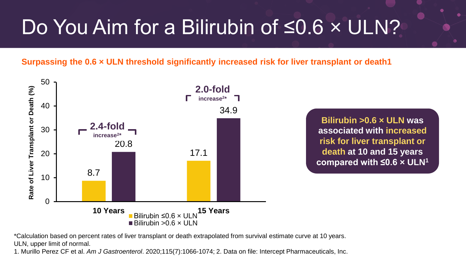# Do You Aim for a Bilirubin of ≤0.6 x ULN?

**Surpassing the 0.6 × ULN threshold significantly increased risk for liver transplant or death1** 



\*Calculation based on percent rates of liver transplant or death extrapolated from survival estimate curve at 10 years. ULN, upper limit of normal.

1. Murillo Perez CF et al. *Am J Gastroenterol*. 2020;115(7):1066-1074; 2. Data on file: Intercept Pharmaceuticals, Inc.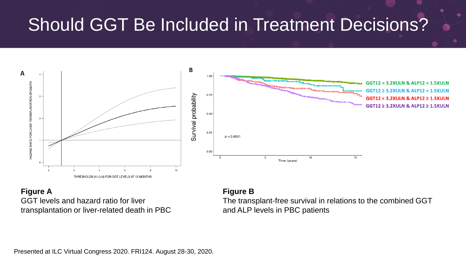## Should GGT Be Included in Treatment Decisions?





#### **Figure B**

The transplant-free survival in relations to the combined GGT and ALP levels in PBC patients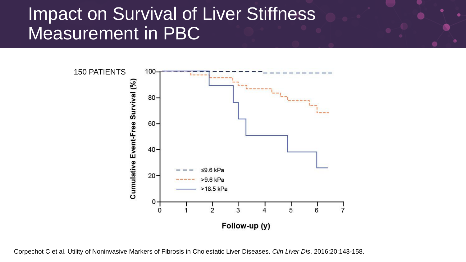### Impact on Survival of Liver Stiffness Measurement in PBC



Corpechot C et al. Utility of Noninvasive Markers of Fibrosis in Cholestatic Liver Diseases. *Clin Liver Dis*. 2016;20:143-158.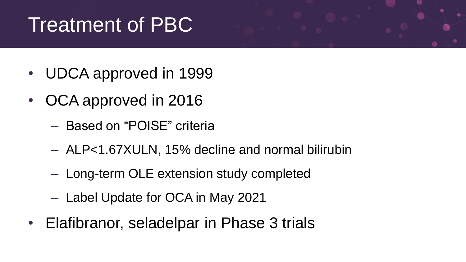# Treatment of PBC

- UDCA approved in 1999
- OCA approved in 2016
	- Based on "POISE" criteria
	- ALP<1.67XULN, 15% decline and normal bilirubin
	- Long-term OLE extension study completed
	- Label Update for OCA in May 2021
- Elafibranor, seladelpar in Phase 3 trials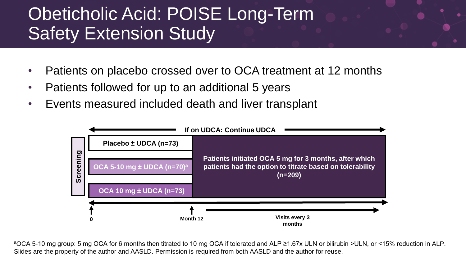## Obeticholic Acid: POISE Long-Term Safety Extension Study

- Patients on placebo crossed over to OCA treatment at 12 months
- Patients followed for up to an additional 5 years
- Events measured included death and liver transplant



<sup>a</sup>OCA 5-10 mg group: 5 mg OCA for 6 months then titrated to 10 mg OCA if tolerated and ALP ≥1.67x ULN or bilirubin >ULN, or <15% reduction in ALP. Slides are the property of the author and AASLD. Permission is required from both AASLD and the author for reuse.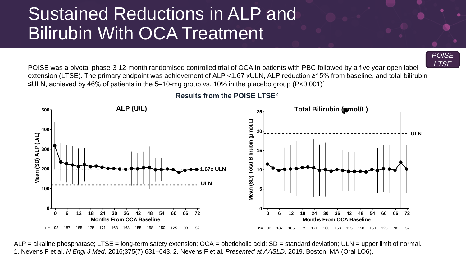## Sustained Reductions in ALP and Bilirubin With OCA Treatment

POISE was a pivotal phase-3 12-month randomised controlled trial of OCA in patients with PBC followed by a five year open label extension (LTSE). The primary endpoint was achievement of ALP <1.67 xULN, ALP reduction ≥15% from baseline, and total bilirubin ≤ULN, achieved by 46% of patients in the 5–10-mg group vs. 10% in the placebo group (P<0.001)<sup>1</sup>



#### **Results from the POISE LTSE**<sup>2</sup>

ALP = alkaline phosphatase; LTSE = long-term safety extension; OCA = obeticholic acid; SD = standard deviation; ULN = upper limit of normal. 1. Nevens F et al. *N Engl J Med*. 2016;375(7):631–643. 2. Nevens F et al. *Presented at AASLD.* 2019. Boston, MA (Oral LO6).

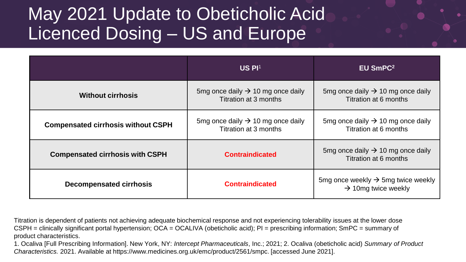## May 2021 Update to Obeticholic Acid Licenced Dosing – US and Europe

|                                           | US PI <sup>1</sup>                                                     | EU SmPC <sup>2</sup>                                                              |
|-------------------------------------------|------------------------------------------------------------------------|-----------------------------------------------------------------------------------|
| <b>Without cirrhosis</b>                  | 5mg once daily $\rightarrow$ 10 mg once daily<br>Titration at 3 months | 5mg once daily $\rightarrow$ 10 mg once daily<br>Titration at 6 months            |
| <b>Compensated cirrhosis without CSPH</b> | 5mg once daily $\rightarrow$ 10 mg once daily<br>Titration at 3 months | 5mg once daily $\rightarrow$ 10 mg once daily<br>Titration at 6 months            |
| <b>Compensated cirrhosis with CSPH</b>    | <b>Contraindicated</b>                                                 | 5mg once daily $\rightarrow$ 10 mg once daily<br>Titration at 6 months            |
| <b>Decompensated cirrhosis</b>            | <b>Contraindicated</b>                                                 | 5mg once weekly $\rightarrow$ 5mg twice weekly<br>$\rightarrow$ 10mg twice weekly |

Titration is dependent of patients not achieving adequate biochemical response and not experiencing tolerability issues at the lower dose CSPH = clinically significant portal hypertension; OCA = OCALIVA (obeticholic acid); PI = prescribing information; SmPC = summary of product characteristics.

1. Ocaliva [Full Prescribing Information]. New York, NY: *Intercept Pharmaceuticals*, Inc.; 2021; 2. Ocaliva (obeticholic acid) *Summary of Product Characteristics.* 2021. Available at https://www.medicines.org.uk/emc/product/2561/smpc. [accessed June 2021].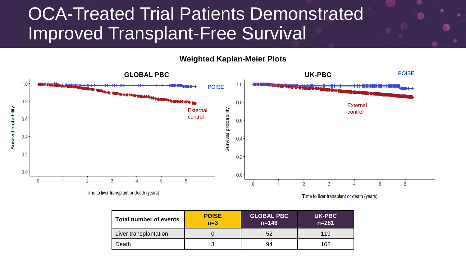### OCA-Treated Trial Patients Demonstrated Improved Transplant-Free Survival



**Weighted Kaplan-Meier Plots**

Time to liver transplant or death (years)

Time to liver transplant or death (years)

| Total number of events | <b>POISE</b><br>$n=3$ | <b>GLOBAL PBC</b><br>$n = 146$ | UK-PBC<br>$n = 281$ |
|------------------------|-----------------------|--------------------------------|---------------------|
| Liver transplantation  |                       | 52                             | 119                 |
| Death                  |                       | 94                             | 162                 |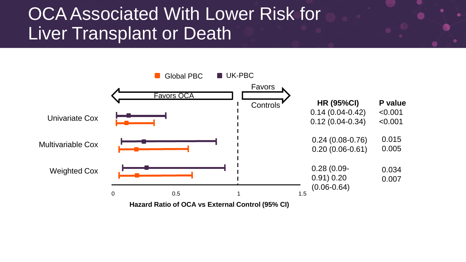## OCA Associated With Lower Risk for Liver Transplant or Death

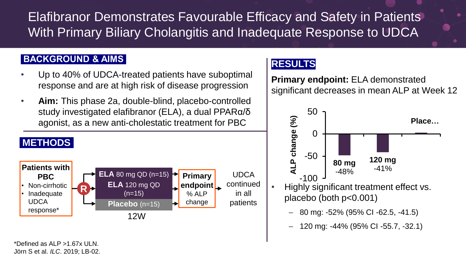Elafibranor Demonstrates Favourable Efficacy and Safety in Patients With Primary Biliary Cholangitis and Inadequate Response to UDCA

#### **BACKGROUND & AIMS**

- Up to 40% of UDCA-treated patients have suboptimal response and are at high risk of disease progression
- **Aim:** This phase 2a, double-blind, placebo-controlled study investigated elafibranor (ELA), a dual PPARα/δ agonist, as a new anti-cholestatic treatment for PBC



#### **RESULTS**

**Primary endpoint:** ELA demonstrated significant decreases in mean ALP at Week 12



\*Defined as ALP >1.67x ULN. Jörn S et al. *ILC*. 2019; LB-02.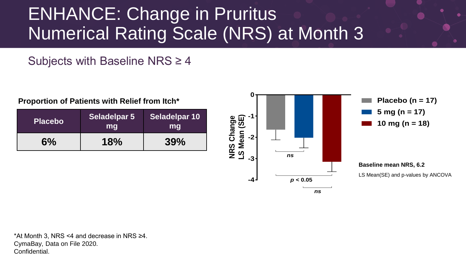## ENHANCE: Change in Pruritus Numerical Rating Scale (NRS) at Month 3

#### Subjects with Baseline NRS  $\geq$  4

**Proportion of Patients with Relief from Itch\***

| <b>Placebo</b> | Seladelpar 5<br>mg | Seladelpar 10<br>mg |
|----------------|--------------------|---------------------|
| 6%             | 18%                | 39%                 |



\*At Month 3, NRS <4 and decrease in NRS ≥4. CymaBay, Data on File 2020. Confidential.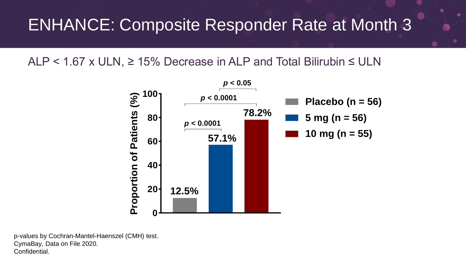## ENHANCE: Composite Responder Rate at Month 3

ALP < 1.67 x ULN,  $\geq$  15% Decrease in ALP and Total Bilirubin  $\leq$  ULN



p-values by Cochran-Mantel-Haenszel (CMH) test. CymaBay, Data on File 2020. Confidential.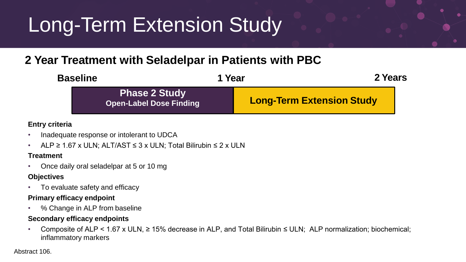# Long-Term Extension Study

### **2 Year Treatment with Seladelpar in Patients with PBC**

| <b>Baseline</b> |                                                        | Year                             | 2 Years |
|-----------------|--------------------------------------------------------|----------------------------------|---------|
|                 | <b>Phase 2 Study</b><br><b>Open-Label Dose Finding</b> | <b>Long-Term Extension Study</b> |         |

#### **Entry criteria**

- Inadequate response or intolerant to UDCA
- ALP ≥ 1.67 x ULN; ALT/AST ≤ 3 x ULN; Total Bilirubin ≤ 2 x ULN

#### **Treatment**

• Once daily oral seladelpar at 5 or 10 mg

#### **Objectives**

• To evaluate safety and efficacy

#### **Primary efficacy endpoint**

• % Change in ALP from baseline

#### **Secondary efficacy endpoints**

• Composite of ALP < 1.67 x ULN, ≥ 15% decrease in ALP, and Total Bilirubin ≤ ULN; ALP normalization; biochemical; inflammatory markers

Abstract 106.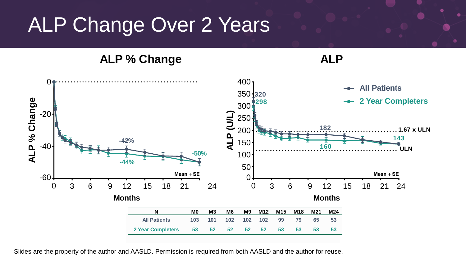# ALP Change Over 2 Years

**ALP % Change ALP**





Slides are the property of the author and AASLD. Permission is required from both AASLD and the author for reuse.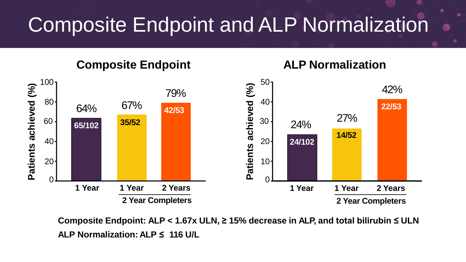# Composite Endpoint and ALP Normalization



**Composite Endpoint: ALP < 1.67x ULN, ≥ 15% decrease in ALP, and total bilirubin ≤ ULN ALP Normalization: ALP ≤ 116 U/L**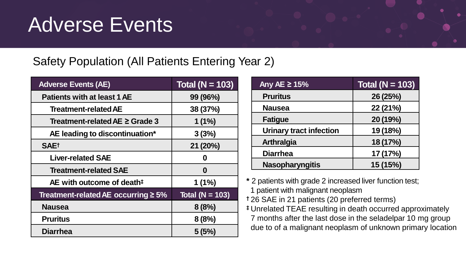# Adverse Events

### Safety Population (All Patients Entering Year 2)

| <b>Adverse Events (AE)</b>                | Total ( $N = 103$ ) |
|-------------------------------------------|---------------------|
| Patients with at least 1 AE               | 99 (96%)            |
| Treatment-related AE                      | 38 (37%)            |
| Treatment-related AE $\geq$ Grade 3       | 1(1%)               |
| AE leading to discontinuation*            | 3(3%)               |
| <b>SAEt</b>                               | 21 (20%)            |
| <b>Liver-related SAE</b>                  | O                   |
| <b>Treatment-related SAE</b>              | O                   |
| AE with outcome of death <sup>#</sup>     | $1(1\%)$            |
| Treatment-related AE occurring $\geq 5\%$ | Total ( $N = 103$ ) |
| <b>Nausea</b>                             | 8(8%)               |
| <b>Pruritus</b>                           | 8(8%)               |
| <b>Diarrhea</b>                           | 5(5%)               |

| Any AE $\geq$ 15%              | Total ( $N = 103$ ) |
|--------------------------------|---------------------|
| <b>Pruritus</b>                | 26 (25%)            |
| <b>Nausea</b>                  | 22 (21%)            |
| <b>Fatigue</b>                 | 20 (19%)            |
| <b>Urinary tract infection</b> | 19 (18%)            |
| <b>Arthralgia</b>              | 18 (17%)            |
| <b>Diarrhea</b>                | 17 (17%)            |
| <b>Nasopharyngitis</b>         | 15 (15%)            |

**\*** 2 patients with grade 2 increased liver function test; 1 patient with malignant neoplasm

**†** 26 SAE in 21 patients (20 preferred terms)

**‡** Unrelated TEAE resulting in death occurred approximately 7 months after the last dose in the seladelpar 10 mg group due to of a malignant neoplasm of unknown primary location